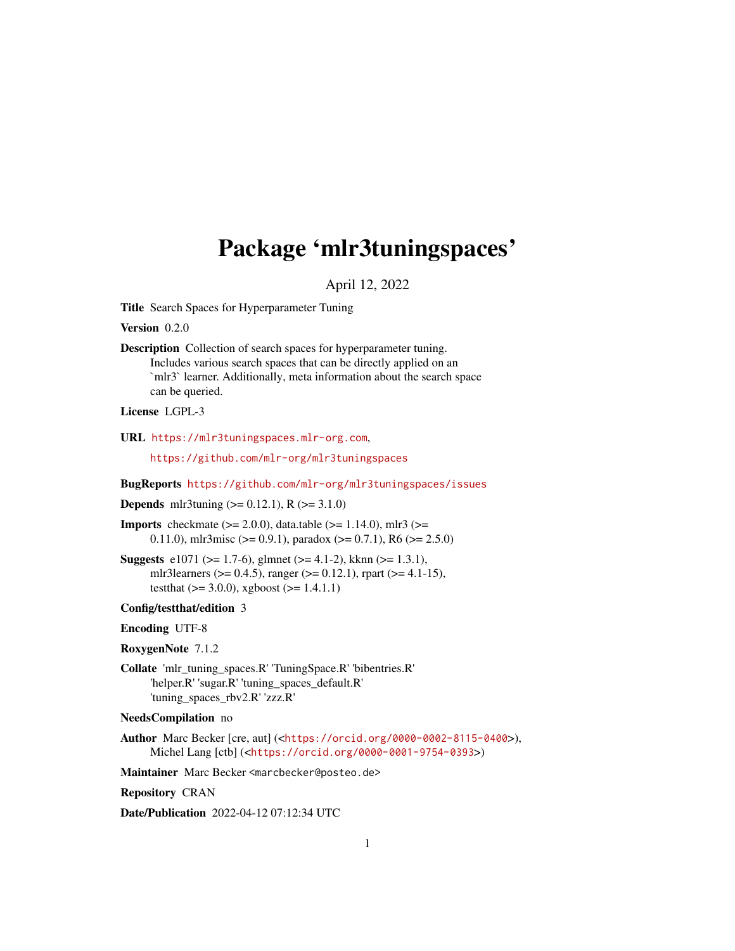# <span id="page-0-0"></span>Package 'mlr3tuningspaces'

April 12, 2022

Title Search Spaces for Hyperparameter Tuning

Version 0.2.0

Description Collection of search spaces for hyperparameter tuning. Includes various search spaces that can be directly applied on an `mlr3` learner. Additionally, meta information about the search space can be queried.

License LGPL-3

URL <https://mlr3tuningspaces.mlr-org.com>,

<https://github.com/mlr-org/mlr3tuningspaces>

BugReports <https://github.com/mlr-org/mlr3tuningspaces/issues>

**Depends** mlr3tuning  $(>= 0.12.1)$ , R  $(>= 3.1.0)$ 

- **Imports** checkmate ( $>= 2.0.0$ ), data.table ( $>= 1.14.0$ ), mlr3 ( $>=$ 0.11.0), mlr3misc ( $> = 0.9.1$ ), paradox ( $> = 0.7.1$ ), R6 ( $> = 2.5.0$ )
- Suggests e1071 ( $>= 1.7-6$ ), glmnet ( $>= 4.1-2$ ), kknn ( $>= 1.3.1$ ), mlr3learners ( $> = 0.4.5$ ), ranger ( $> = 0.12.1$ ), rpart ( $> = 4.1-15$ ), testthat  $(>= 3.0.0)$ , xgboost  $(>= 1.4.1.1)$

#### Config/testthat/edition 3

# Encoding UTF-8

RoxygenNote 7.1.2

- Collate 'mlr\_tuning\_spaces.R' 'TuningSpace.R' 'bibentries.R' 'helper.R' 'sugar.R' 'tuning\_spaces\_default.R' 'tuning\_spaces\_rbv2.R' 'zzz.R'
- NeedsCompilation no
- Author Marc Becker [cre, aut] (<<https://orcid.org/0000-0002-8115-0400>>), Michel Lang [ctb] (<<https://orcid.org/0000-0001-9754-0393>>)

Maintainer Marc Becker <marcbecker@posteo.de>

Repository CRAN

Date/Publication 2022-04-12 07:12:34 UTC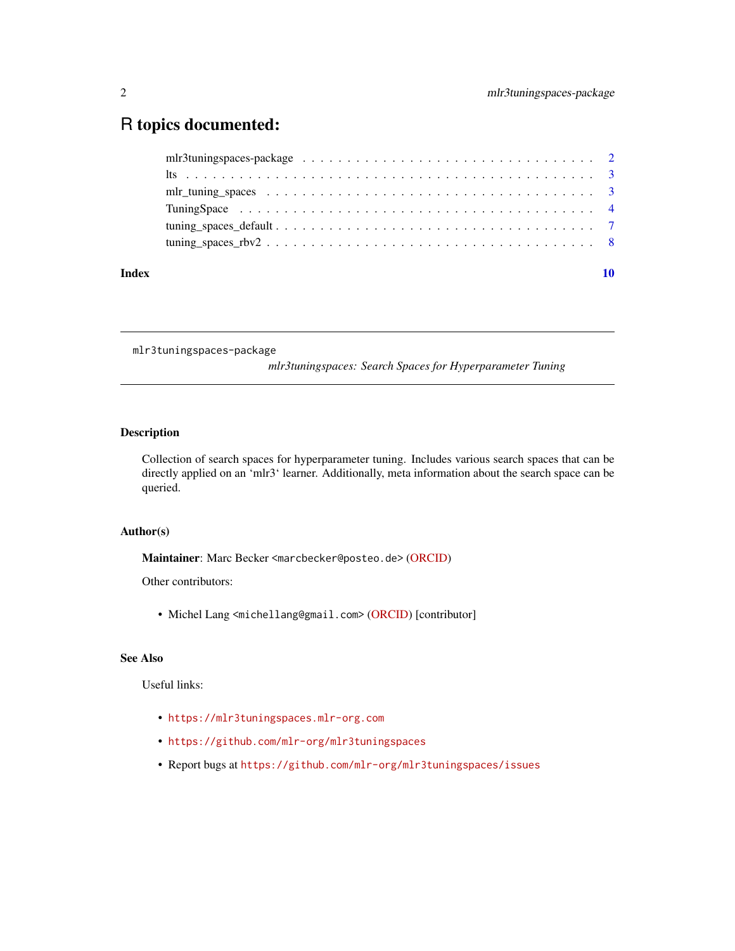# <span id="page-1-0"></span>R topics documented:

| Index |  |  |  |  |  |  |  |  |  |  |  |  |  |  |  |  |
|-------|--|--|--|--|--|--|--|--|--|--|--|--|--|--|--|--|
|       |  |  |  |  |  |  |  |  |  |  |  |  |  |  |  |  |
|       |  |  |  |  |  |  |  |  |  |  |  |  |  |  |  |  |
|       |  |  |  |  |  |  |  |  |  |  |  |  |  |  |  |  |
|       |  |  |  |  |  |  |  |  |  |  |  |  |  |  |  |  |
|       |  |  |  |  |  |  |  |  |  |  |  |  |  |  |  |  |
|       |  |  |  |  |  |  |  |  |  |  |  |  |  |  |  |  |

mlr3tuningspaces-package

*mlr3tuningspaces: Search Spaces for Hyperparameter Tuning*

# Description

Collection of search spaces for hyperparameter tuning. Includes various search spaces that can be directly applied on an 'mlr3' learner. Additionally, meta information about the search space can be queried.

#### Author(s)

Maintainer: Marc Becker <marcbecker@posteo.de> [\(ORCID\)](https://orcid.org/0000-0002-8115-0400)

Other contributors:

• Michel Lang <michellang@gmail.com> [\(ORCID\)](https://orcid.org/0000-0001-9754-0393) [contributor]

# See Also

Useful links:

- <https://mlr3tuningspaces.mlr-org.com>
- <https://github.com/mlr-org/mlr3tuningspaces>
- Report bugs at <https://github.com/mlr-org/mlr3tuningspaces/issues>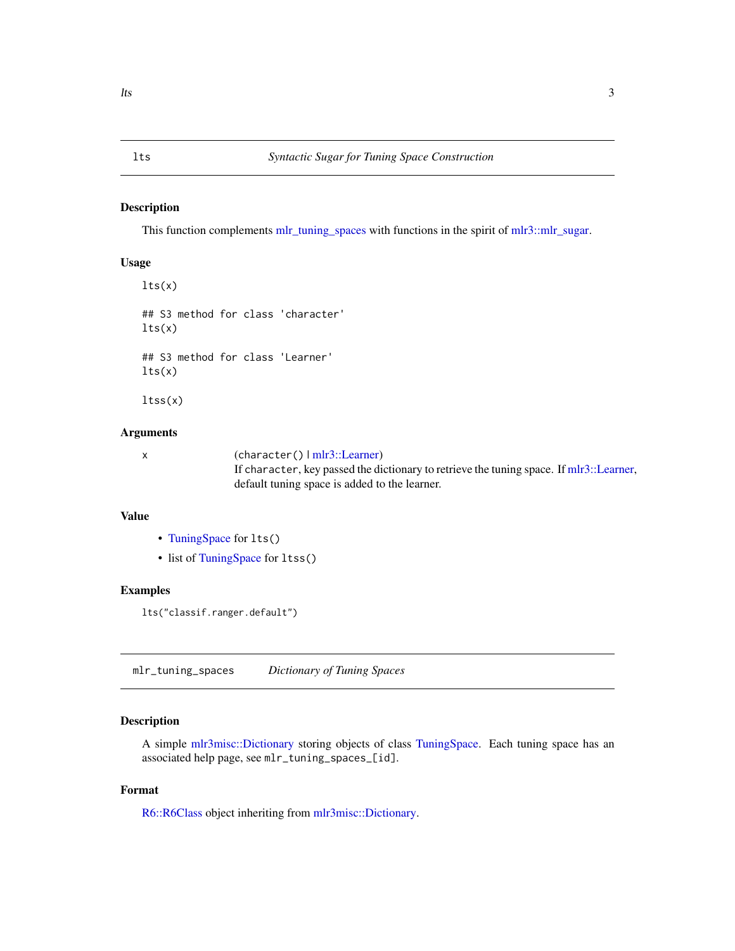#### <span id="page-2-0"></span>Description

This function complements [mlr\\_tuning\\_spaces](#page-2-1) with functions in the spirit of [mlr3::mlr\\_sugar.](#page-0-0)

#### Usage

```
lts(x)## S3 method for class 'character'
lts(x)
## S3 method for class 'Learner'
lts(x)
```
ltss(x)

### Arguments

x (character() | [mlr3::Learner\)](#page-0-0) If character, key passed the dictionary to retrieve the tuning space. If [mlr3::Learner,](#page-0-0) default tuning space is added to the learner.

# Value

- [TuningSpace](#page-3-1) for lts()
- list of [TuningSpace](#page-3-1) for ltss()

### Examples

lts("classif.ranger.default")

<span id="page-2-1"></span>mlr\_tuning\_spaces *Dictionary of Tuning Spaces*

# Description

A simple [mlr3misc::Dictionary](#page-0-0) storing objects of class [TuningSpace.](#page-3-1) Each tuning space has an associated help page, see mlr\_tuning\_spaces\_[id].

# Format

[R6::R6Class](#page-0-0) object inheriting from [mlr3misc::Dictionary.](#page-0-0)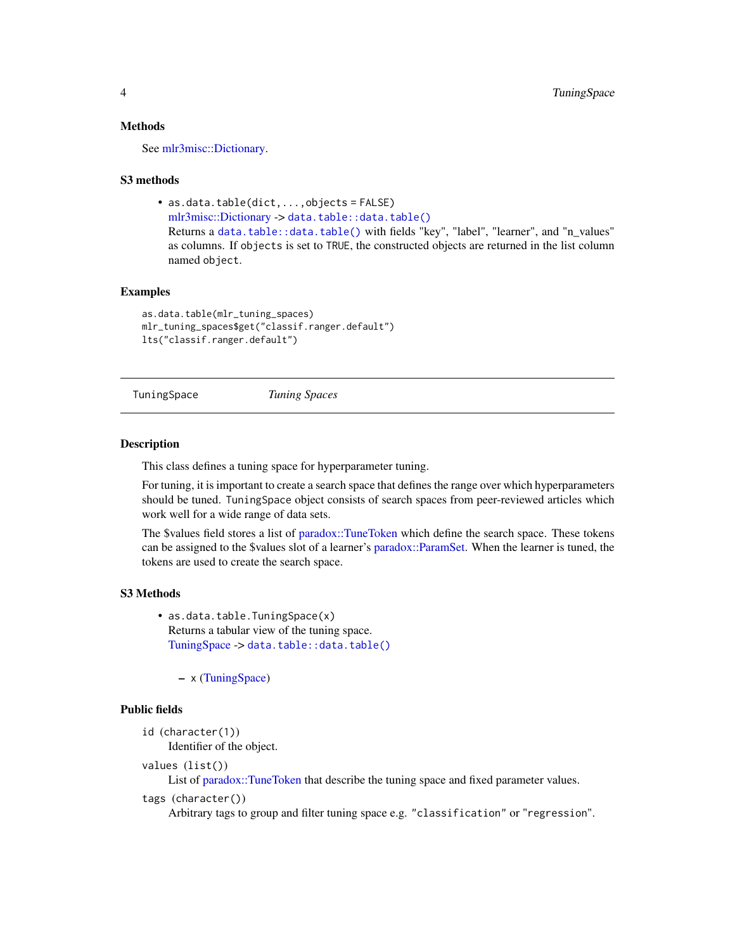#### <span id="page-3-0"></span>Methods

See [mlr3misc::Dictionary.](#page-0-0)

#### S3 methods

• as.data.table(dict,...,objects = FALSE)

[mlr3misc::Dictionary](#page-0-0) -> [data.table::data.table\(\)](#page-0-0)

Returns a [data.table::data.table\(\)](#page-0-0) with fields "key", "label", "learner", and "n\_values" as columns. If objects is set to TRUE, the constructed objects are returned in the list column named object.

# Examples

```
as.data.table(mlr_tuning_spaces)
mlr_tuning_spaces$get("classif.ranger.default")
lts("classif.ranger.default")
```

```
TuningSpace Tuning Spaces
```
#### **Description**

This class defines a tuning space for hyperparameter tuning.

For tuning, it is important to create a search space that defines the range over which hyperparameters should be tuned. TuningSpace object consists of search spaces from peer-reviewed articles which work well for a wide range of data sets.

The \$values field stores a list of [paradox::TuneToken](#page-0-0) which define the search space. These tokens can be assigned to the \$values slot of a learner's [paradox::ParamSet.](#page-0-0) When the learner is tuned, the tokens are used to create the search space.

#### S3 Methods

• as.data.table.TuningSpace(x) Returns a tabular view of the tuning space. [TuningSpace](#page-3-1) -> [data.table::data.table\(\)](#page-0-0)

– x [\(TuningSpace\)](#page-3-1)

#### Public fields

```
id (character(1))
     Identifier of the object.
```
- 
- values (list())

List of [paradox::TuneToken](#page-0-0) that describe the tuning space and fixed parameter values.

```
tags (character())
```
Arbitrary tags to group and filter tuning space e.g. "classification" or "regression".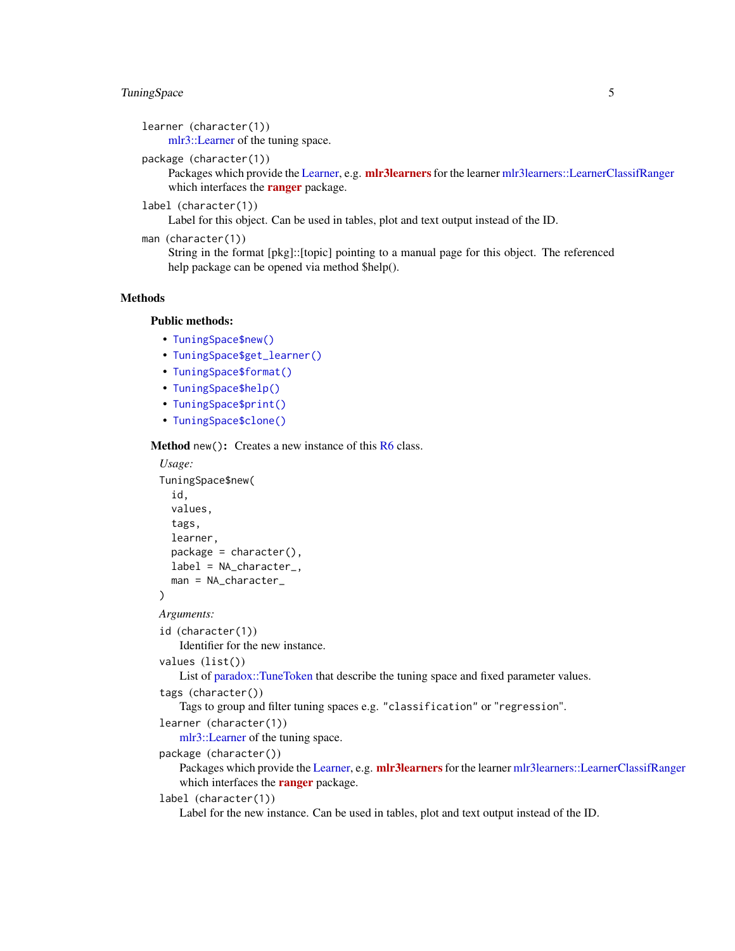# <span id="page-4-1"></span>TuningSpace 5

learner (character(1)) [mlr3::Learner](#page-0-0) of the tuning space.

package (character(1))

Packages which provide the [Learner,](#page-0-0) e.g. [mlr3learners](https://CRAN.R-project.org/package=mlr3learners) for the learner [mlr3learners::LearnerClassifRanger](#page-0-0) which interfaces the **[ranger](https://CRAN.R-project.org/package=ranger)** package.

label (character(1))

Label for this object. Can be used in tables, plot and text output instead of the ID.

man (character(1))

String in the format [pkg]::[topic] pointing to a manual page for this object. The referenced help package can be opened via method \$help().

# **Methods**

#### Public methods:

- [TuningSpace\\$new\(\)](#page-4-0)
- [TuningSpace\\$get\\_learner\(\)](#page-5-0)
- [TuningSpace\\$format\(\)](#page-5-1)
- [TuningSpace\\$help\(\)](#page-5-2)
- [TuningSpace\\$print\(\)](#page-5-3)
- [TuningSpace\\$clone\(\)](#page-5-4)

<span id="page-4-0"></span>Method new(): Creates a new instance of this [R6](#page-0-0) class.

```
Usage:
TuningSpace$new(
  id,
  values,
  tags,
  learner,
  package = character(),
  label = NA_character_,
  man = NA_character_
)
Arguments:
id (character(1))
   Identifier for the new instance.
values (list())
   List of paradox::TuneToken that describe the tuning space and fixed parameter values.
tags (character())
   Tags to group and filter tuning spaces e.g. "classification" or "regression".
learner (character(1))
   mlr3::Learner of the tuning space.
package (character())
   Learner,mlr3learnersmlr3learners::LearnerClassifRanger
   which interfaces the ranger package.
label (character(1))
   Label for the new instance. Can be used in tables, plot and text output instead of the ID.
```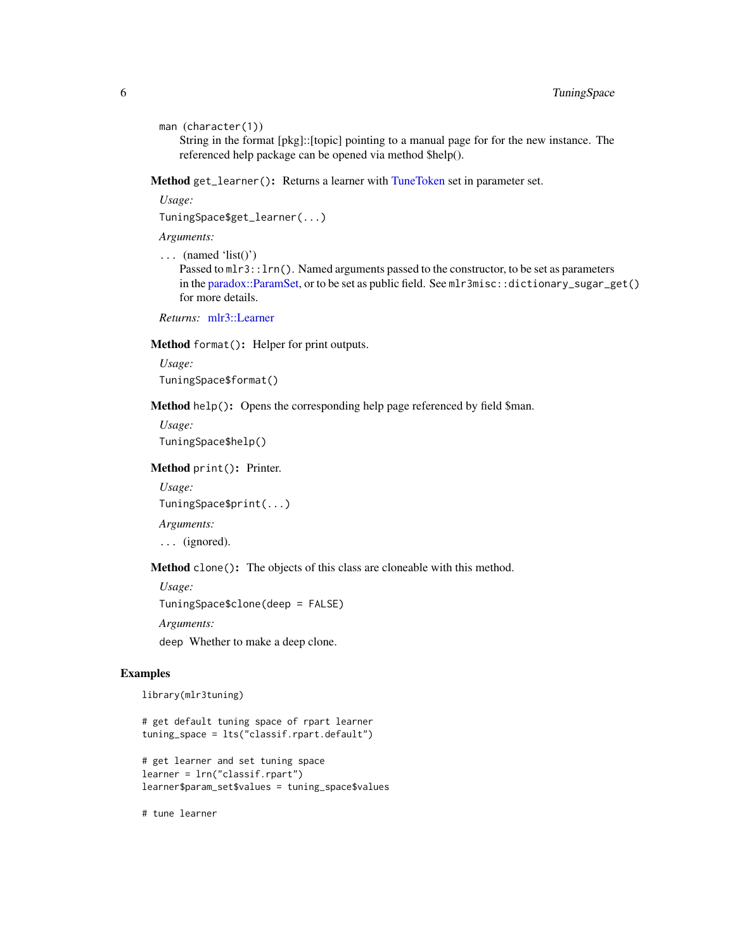```
man (character(1))
```
String in the format [pkg]::[topic] pointing to a manual page for for the new instance. The referenced help package can be opened via method \$help().

<span id="page-5-0"></span>Method get\_learner(): Returns a learner with [TuneToken](#page-0-0) set in parameter set.

*Usage:*

TuningSpace\$get\_learner(...)

*Arguments:*

 $\ldots$  (named 'list()') Passed to mlr3::lrn(). Named arguments passed to the constructor, to be set as parameters in the [paradox::ParamSet,](#page-0-0) or to be set as public field. See mlr3misc::dictionary\_sugar\_get() for more details.

*Returns:* [mlr3::Learner](#page-0-0)

<span id="page-5-1"></span>Method format(): Helper for print outputs.

*Usage:* TuningSpace\$format()

<span id="page-5-2"></span>Method help(): Opens the corresponding help page referenced by field \$man.

*Usage:* TuningSpace\$help()

<span id="page-5-3"></span>Method print(): Printer.

*Usage:*

TuningSpace\$print(...)

*Arguments:*

... (ignored).

<span id="page-5-4"></span>Method clone(): The objects of this class are cloneable with this method.

*Usage:*

TuningSpace\$clone(deep = FALSE)

*Arguments:*

deep Whether to make a deep clone.

# Examples

library(mlr3tuning)

# get default tuning space of rpart learner tuning\_space = lts("classif.rpart.default")

# get learner and set tuning space learner = lrn("classif.rpart") learner\$param\_set\$values = tuning\_space\$values

# tune learner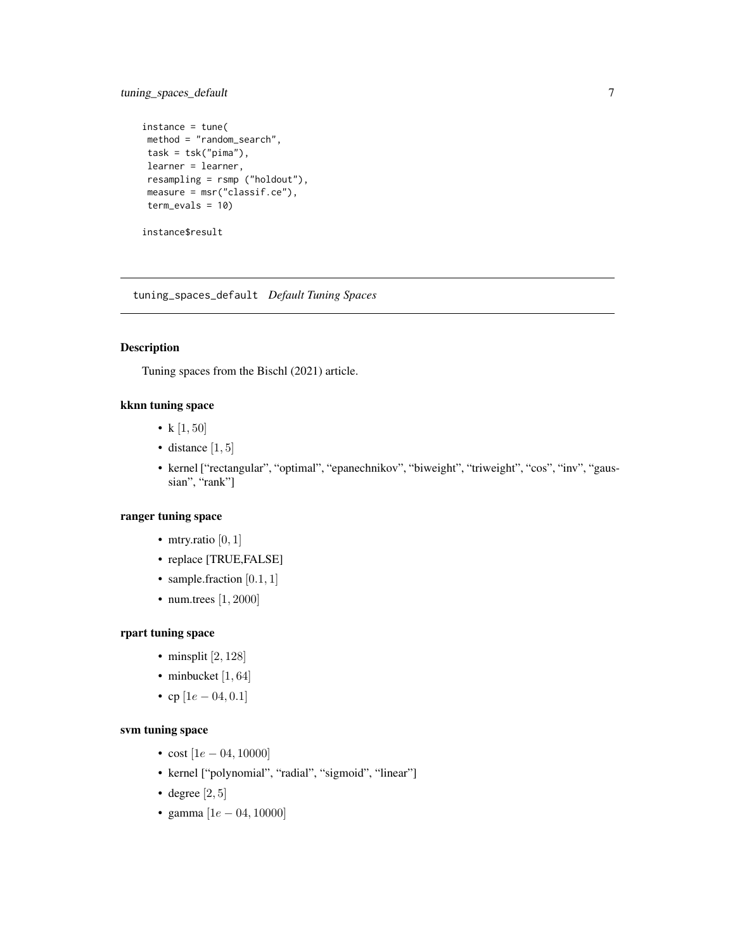# <span id="page-6-0"></span>tuning\_spaces\_default 7

```
instance = tune(
method = "random_search",
task = tsk("pima"),
learner = learner,
resampling = rsmp ("holdout"),
measure = msr("classif.ce"),
term_evals = 10)
```
instance\$result

tuning\_spaces\_default *Default Tuning Spaces*

# Description

Tuning spaces from the Bischl (2021) article.

# kknn tuning space

- k $[1, 50]$
- distance  $[1, 5]$
- kernel ["rectangular", "optimal", "epanechnikov", "biweight", "triweight", "cos", "inv", "gaussian", "rank"]

### ranger tuning space

- mtry.ratio  $[0, 1]$
- replace [TRUE,FALSE]
- sample.fraction  $[0.1, 1]$
- num.trees [1, 2000]

# rpart tuning space

- minsplit  $[2, 128]$
- minbucket [1, 64]
- cp  $[1e 04, 0.1]$

# svm tuning space

- cost  $[1e 04, 10000]$
- kernel ["polynomial", "radial", "sigmoid", "linear"]
- degree  $[2, 5]$
- gamma  $[1e 04, 10000]$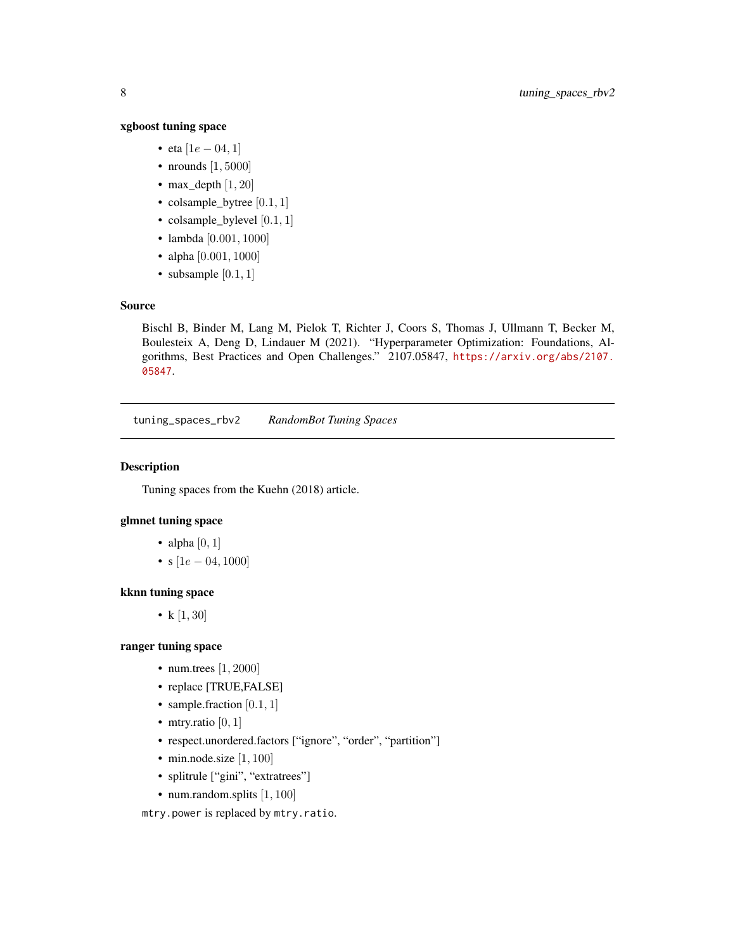#### <span id="page-7-0"></span>xgboost tuning space

- eta  $[1e 04, 1]$
- nrounds  $[1, 5000]$
- max\_depth  $[1, 20]$
- colsample\_bytree  $[0.1, 1]$
- colsample\_bylevel [0.1, 1]
- lambda [0.001, 1000]
- alpha [0.001, 1000]
- subsample  $[0.1, 1]$

### Source

Bischl B, Binder M, Lang M, Pielok T, Richter J, Coors S, Thomas J, Ullmann T, Becker M, Boulesteix A, Deng D, Lindauer M (2021). "Hyperparameter Optimization: Foundations, Algorithms, Best Practices and Open Challenges." 2107.05847, [https://arxiv.org/abs/2107.](https://arxiv.org/abs/2107.05847) [05847](https://arxiv.org/abs/2107.05847).

tuning\_spaces\_rbv2 *RandomBot Tuning Spaces*

#### Description

Tuning spaces from the Kuehn (2018) article.

# glmnet tuning space

- alpha  $[0, 1]$
- s  $[1e 04, 1000]$

#### kknn tuning space

• k  $[1, 30]$ 

# ranger tuning space

- num.trees [1, 2000]
- replace [TRUE,FALSE]
- sample.fraction  $[0.1, 1]$
- mtry.ratio  $[0, 1]$
- respect.unordered.factors ["ignore", "order", "partition"]
- min.node.size  $[1, 100]$
- splitrule ["gini", "extratrees"]
- num.random.splits [1, 100]

mtry.power is replaced by mtry.ratio.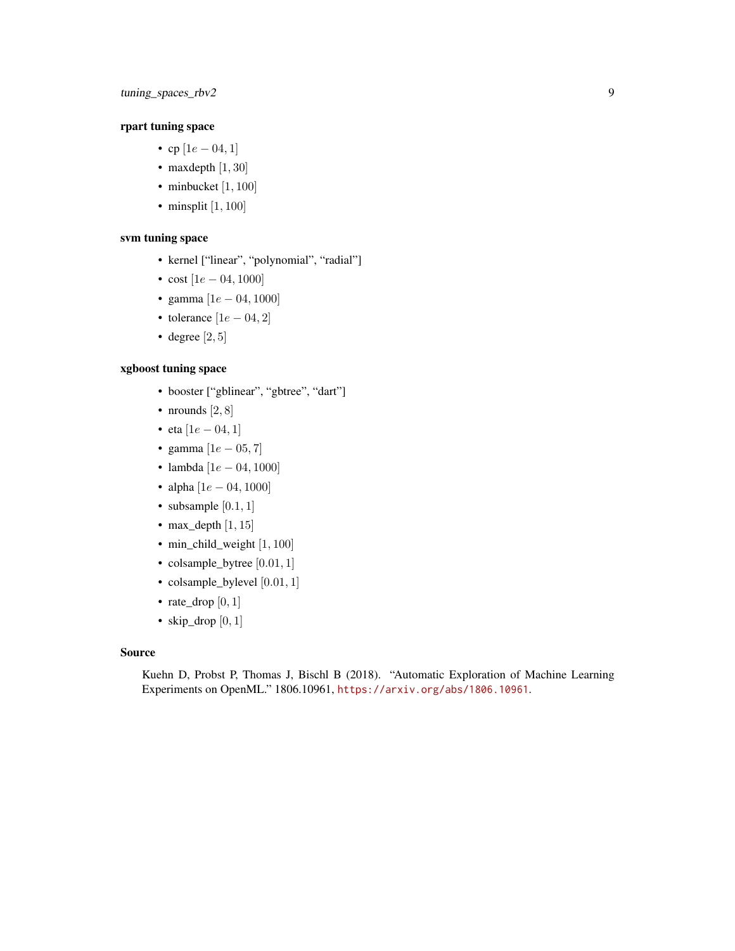# rpart tuning space

- cp  $[1e 04, 1]$
- maxdepth  $[1, 30]$
- minbucket  $[1, 100]$
- minsplit  $[1, 100]$

# svm tuning space

- kernel ["linear", "polynomial", "radial"]
- $cost$  [1e 04, 1000]
- gamma  $[1e 04, 1000]$
- tolerance  $[1e 04, 2]$
- degree  $[2, 5]$

# xgboost tuning space

- booster ["gblinear", "gbtree", "dart"]
- nrounds  $[2, 8]$
- eta  $[1e 04, 1]$
- gamma  $[1e 05, 7]$
- lambda [1e − 04, 1000]
- alpha  $[1e 04, 1000]$
- subsample  $[0.1, 1]$
- max\_depth  $[1, 15]$
- min\_child\_weight [1, 100]
- colsample\_bytree [0.01, 1]
- colsample\_bylevel [0.01, 1]
- rate\_drop  $[0, 1]$
- skip\_drop  $[0, 1]$

#### Source

Kuehn D, Probst P, Thomas J, Bischl B (2018). "Automatic Exploration of Machine Learning Experiments on OpenML." 1806.10961, <https://arxiv.org/abs/1806.10961>.